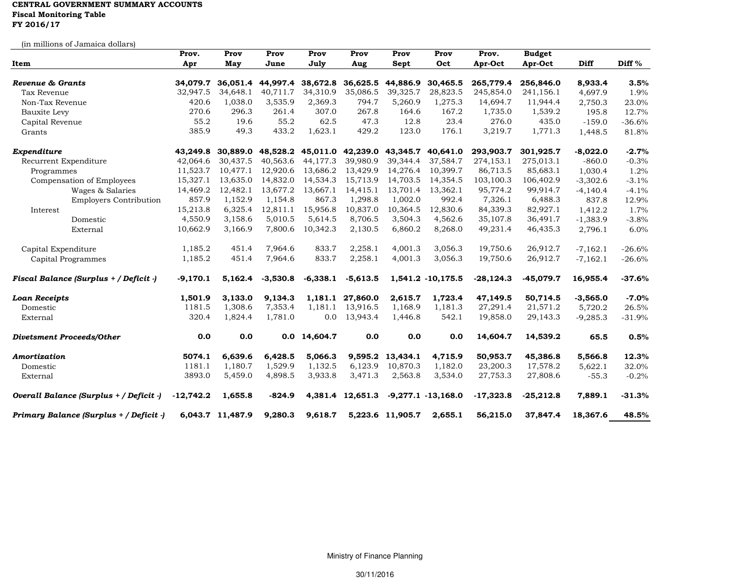## **CENTRAL GOVERNMENT SUMMARY ACCOUNTS Fiscal Monitoring Table FY 2016/17**

| (in millions of Jamaica dollars)        |             |                  |                   |                            |                            |                  |                       |             |               |             |          |
|-----------------------------------------|-------------|------------------|-------------------|----------------------------|----------------------------|------------------|-----------------------|-------------|---------------|-------------|----------|
|                                         | Prov.       | Prov             | Prov              | Prov                       | Prov                       | Prov             | Prov                  | Prov.       | <b>Budget</b> |             |          |
| Item                                    | Apr         | May              | June              | July                       | Aug                        | Sept             | Oct                   | Apr-Oct     | Apr-Oct       | <b>Diff</b> | Diff %   |
| Revenue & Grants                        | 34.079.7    |                  |                   | 36,051.4 44,997.4 38,672.8 | 36,625.5                   | 44,886.9         | 30,465.5              | 265,779.4   | 256,846.0     | 8,933.4     | 3.5%     |
| Tax Revenue                             | 32,947.5    | 34,648.1         | 40,711.7          | 34,310.9                   | 35,086.5                   | 39,325.7         | 28,823.5              | 245,854.0   | 241,156.1     | 4,697.9     | 1.9%     |
| Non-Tax Revenue                         | 420.6       | 1,038.0          | 3,535.9           | 2,369.3                    | 794.7                      | 5,260.9          | 1,275.3               | 14,694.7    | 11,944.4      | 2,750.3     | 23.0%    |
| Bauxite Levy                            | 270.6       | 296.3            | 261.4             | 307.0                      | 267.8                      | 164.6            | 167.2                 | 1,735.0     | 1,539.2       | 195.8       | 12.7%    |
| Capital Revenue                         | 55.2        | 19.6             | 55.2              | 62.5                       | 47.3                       | 12.8             | 23.4                  | 276.0       | 435.0         | $-159.0$    | $-36.6%$ |
| Grants                                  | 385.9       | 49.3             | 433.2             | 1,623.1                    | 429.2                      | 123.0            | 176.1                 | 3,219.7     | 1,771.3       | 1,448.5     | 81.8%    |
| Expenditure                             | 43,249.8    |                  | 30,889.0 48,528.2 |                            | 45,011.0 42,239.0 43,345.7 |                  | 40,641.0              | 293,903.7   | 301,925.7     | $-8,022.0$  | $-2.7%$  |
| Recurrent Expenditure                   | 42,064.6    | 30,437.5         | 40,563.6          | 44,177.3                   | 39,980.9                   | 39,344.4         | 37,584.7              | 274,153.1   | 275,013.1     | $-860.0$    | $-0.3%$  |
| Programmes                              | 11,523.7    | 10,477.1         | 12,920.6          | 13,686.2                   | 13,429.9                   | 14,276.4         | 10,399.7              | 86,713.5    | 85,683.1      | 1,030.4     | 1.2%     |
| Compensation of Employees               | 15,327.1    | 13,635.0         | 14,832.0          | 14,534.3                   | 15,713.9                   | 14,703.5         | 14,354.5              | 103,100.3   | 106,402.9     | $-3,302.6$  | $-3.1%$  |
| Wages & Salaries                        | 14,469.2    | 12,482.1         | 13,677.2          | 13,667.1                   | 14,415.1                   | 13,701.4         | 13,362.1              | 95,774.2    | 99,914.7      | $-4,140.4$  | $-4.1%$  |
| <b>Employers Contribution</b>           | 857.9       | 1,152.9          | 1,154.8           | 867.3                      | 1,298.8                    | 1,002.0          | 992.4                 | 7,326.1     | 6,488.3       | 837.8       | 12.9%    |
| Interest                                | 15,213.8    | 6,325.4          | 12,811.1          | 15,956.8                   | 10,837.0                   | 10,364.5         | 12,830.6              | 84,339.3    | 82,927.1      | 1,412.2     | 1.7%     |
| Domestic                                | 4,550.9     | 3,158.6          | 5,010.5           | 5,614.5                    | 8,706.5                    | 3,504.3          | 4,562.6               | 35,107.8    | 36,491.7      | $-1,383.9$  | $-3.8%$  |
| External                                | 10,662.9    | 3,166.9          | 7,800.6           | 10,342.3                   | 2,130.5                    | 6,860.2          | 8,268.0               | 49,231.4    | 46,435.3      | 2,796.1     | 6.0%     |
| Capital Expenditure                     | 1,185.2     | 451.4            | 7,964.6           | 833.7                      | 2,258.1                    | 4,001.3          | 3,056.3               | 19,750.6    | 26,912.7      | $-7,162.1$  | $-26.6%$ |
| Capital Programmes                      | 1,185.2     | 451.4            | 7,964.6           | 833.7                      | 2,258.1                    | 4,001.3          | 3,056.3               | 19,750.6    | 26,912.7      | $-7,162.1$  | $-26.6%$ |
| Fiscal Balance (Surplus + / Deficit -)  | $-9,170.1$  | 5,162.4          | $-3,530.8$        | $-6,338.1$                 | $-5,613.5$                 |                  | 1,541.2 -10,175.5     | $-28,124.3$ | $-45,079.7$   | 16,955.4    | $-37.6%$ |
| <b>Loan Receipts</b>                    | 1,501.9     | 3,133.0          | 9,134.3           | 1,181.1                    | 27,860.0                   | 2.615.7          | 1,723.4               | 47,149.5    | 50,714.5      | $-3,565.0$  | $-7.0%$  |
| Domestic                                | 1181.5      | 1,308.6          | 7,353.4           | 1,181.1                    | 13,916.5                   | 1,168.9          | 1,181.3               | 27,291.4    | 21,571.2      | 5,720.2     | 26.5%    |
| External                                | 320.4       | 1,824.4          | 1,781.0           | 0.0                        | 13,943.4                   | 1,446.8          | 542.1                 | 19,858.0    | 29,143.3      | $-9,285.3$  | $-31.9%$ |
| <b>Divetsment Proceeds/Other</b>        | 0.0         | 0.0              | 0.0               | 14,604.7                   | 0.0                        | 0.0              | 0.0                   | 14,604.7    | 14,539.2      | 65.5        | 0.5%     |
| Amortization                            | 5074.1      | 6,639.6          | 6,428.5           | 5,066.3                    | 9,595.2                    | 13,434.1         | 4,715.9               | 50,953.7    | 45,386.8      | 5,566.8     | 12.3%    |
| Domestic                                | 1181.1      | 1,180.7          | 1,529.9           | 1,132.5                    | 6,123.9                    | 10,870.3         | 1,182.0               | 23,200.3    | 17,578.2      | 5,622.1     | 32.0%    |
| External                                | 3893.0      | 5,459.0          | 4,898.5           | 3,933.8                    | 3,471.3                    | 2,563.8          | 3,534.0               | 27,753.3    | 27,808.6      | $-55.3$     | $-0.2%$  |
| Overall Balance (Surplus + / Deficit -) | $-12,742.2$ | 1,655.8          | $-824.9$          |                            | 4,381.4 12,651.3           |                  | $-9,277.1 - 13,168.0$ | $-17,323.8$ | $-25,212.8$   | 7,889.1     | $-31.3%$ |
| Primary Balance (Surplus + / Deficit -) |             | 6,043.7 11,487.9 | 9,280.3           | 9,618.7                    |                            | 5,223.6 11,905.7 | 2,655.1               | 56,215.0    | 37,847.4      | 18,367.6    | 48.5%    |